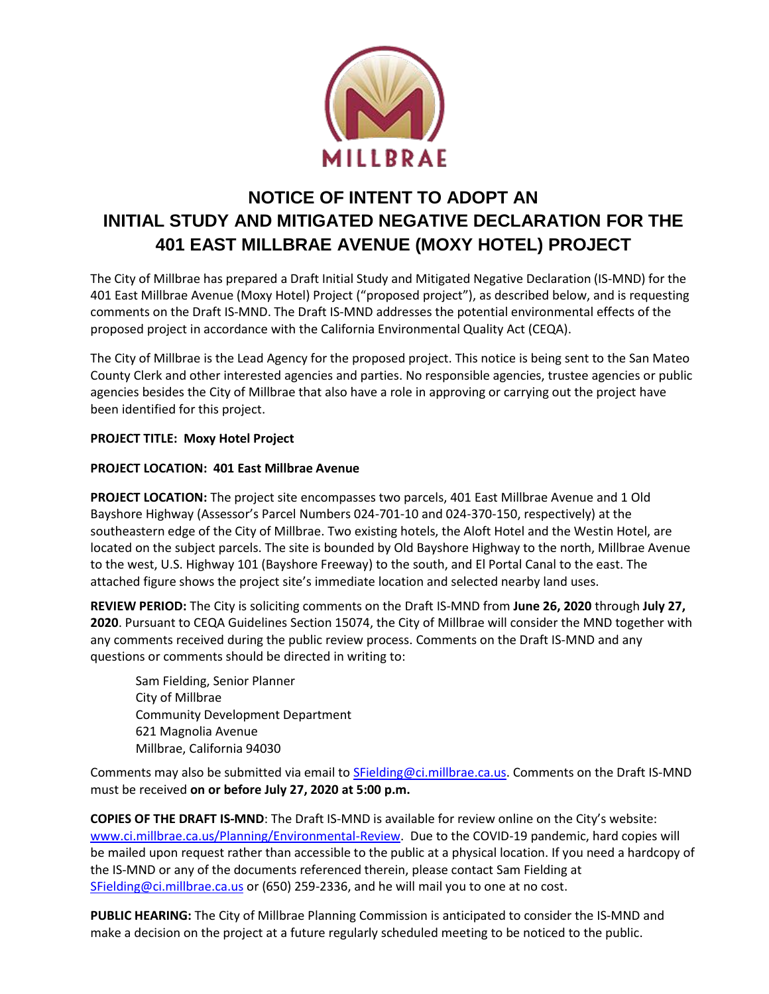

## **NOTICE OF INTENT TO ADOPT AN INITIAL STUDY AND MITIGATED NEGATIVE DECLARATION FOR THE 401 EAST MILLBRAE AVENUE (MOXY HOTEL) PROJECT**

The City of Millbrae has prepared a Draft Initial Study and Mitigated Negative Declaration (IS-MND) for the 401 East Millbrae Avenue (Moxy Hotel) Project ("proposed project"), as described below, and is requesting comments on the Draft IS-MND. The Draft IS-MND addresses the potential environmental effects of the proposed project in accordance with the California Environmental Quality Act (CEQA).

The City of Millbrae is the Lead Agency for the proposed project. This notice is being sent to the San Mateo County Clerk and other interested agencies and parties. No responsible agencies, trustee agencies or public agencies besides the City of Millbrae that also have a role in approving or carrying out the project have been identified for this project.

## **PROJECT TITLE: Moxy Hotel Project**

## **PROJECT LOCATION: 401 East Millbrae Avenue**

**PROJECT LOCATION:** The project site encompasses two parcels, 401 East Millbrae Avenue and 1 Old Bayshore Highway (Assessor's Parcel Numbers 024-701-10 and 024-370-150, respectively) at the southeastern edge of the City of Millbrae. Two existing hotels, the Aloft Hotel and the Westin Hotel, are located on the subject parcels. The site is bounded by Old Bayshore Highway to the north, Millbrae Avenue to the west, U.S. Highway 101 (Bayshore Freeway) to the south, and El Portal Canal to the east. The attached figure shows the project site's immediate location and selected nearby land uses.

**REVIEW PERIOD:** The City is soliciting comments on the Draft IS-MND from **June 26, 2020** through **July 27, 2020**. Pursuant to CEQA Guidelines Section 15074, the City of Millbrae will consider the MND together with any comments received during the public review process. Comments on the Draft IS-MND and any questions or comments should be directed in writing to:

Sam Fielding, Senior Planner City of Millbrae Community Development Department 621 Magnolia Avenue Millbrae, California 94030

Comments may also be submitted via email to SFielding@ci.millbrae.ca.us. Comments on the Draft IS-MND must be received **on or before July 27, 2020 at 5:00 p.m.**

**COPIES OF THE DRAFT IS-MND**: The Draft IS-MND is available for review online on the City's website: [www.ci.millbrae.ca.us/Planning/Environmental-Review.](http://www.ci.millbrae.ca.us/Planning/Environmental-Review) Due to the COVID-19 pandemic, hard copies will be mailed upon request rather than accessible to the public at a physical location. If you need a hardcopy of the IS-MND or any of the documents referenced therein, please contact Sam Fielding at [SFielding@ci.millbrae.ca.us](mailto:SFielding@ci.millbrae.ca.us) or (650) 259-2336, and he will mail you to one at no cost.

**PUBLIC HEARING:** The City of Millbrae Planning Commission is anticipated to consider the IS-MND and make a decision on the project at a future regularly scheduled meeting to be noticed to the public.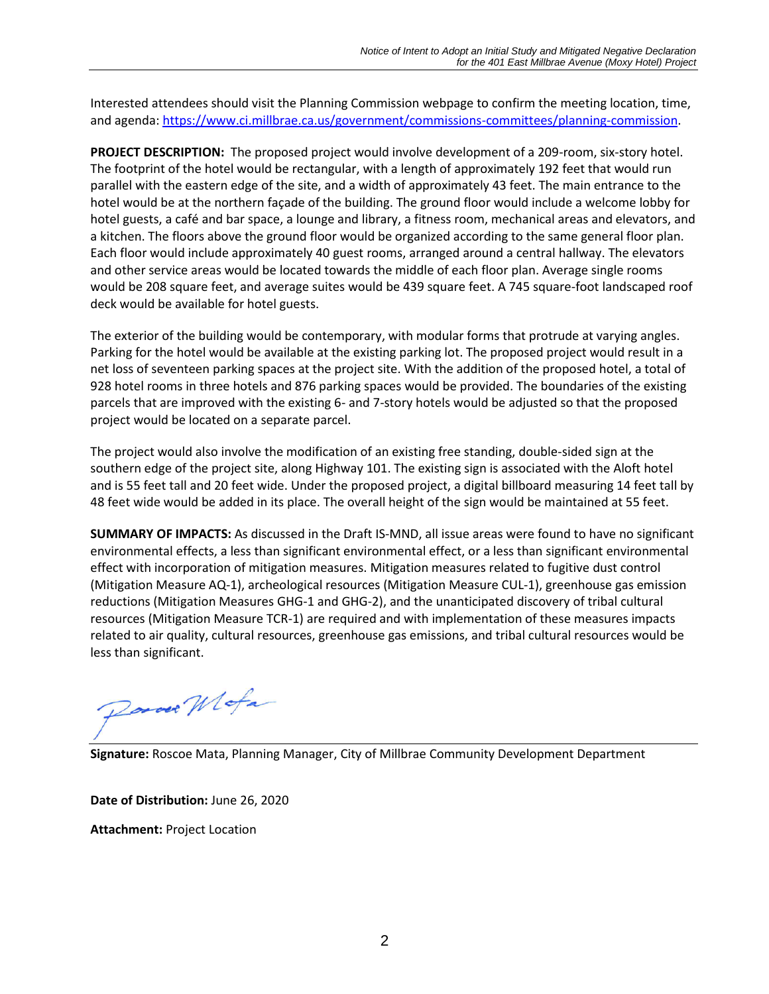Interested attendees should visit the Planning Commission webpage to confirm the meeting location, time, and agenda[: https://www.ci.millbrae.ca.us/government/commissions-committees/planning-commission.](https://www.ci.millbrae.ca.us/government/commissions-committees/planning-commission)

**PROJECT DESCRIPTION:** The proposed project would involve development of a 209-room, six-story hotel. The footprint of the hotel would be rectangular, with a length of approximately 192 feet that would run parallel with the eastern edge of the site, and a width of approximately 43 feet. The main entrance to the hotel would be at the northern façade of the building. The ground floor would include a welcome lobby for hotel guests, a café and bar space, a lounge and library, a fitness room, mechanical areas and elevators, and a kitchen. The floors above the ground floor would be organized according to the same general floor plan. Each floor would include approximately 40 guest rooms, arranged around a central hallway. The elevators and other service areas would be located towards the middle of each floor plan. Average single rooms would be 208 square feet, and average suites would be 439 square feet. A 745 square-foot landscaped roof deck would be available for hotel guests.

The exterior of the building would be contemporary, with modular forms that protrude at varying angles. Parking for the hotel would be available at the existing parking lot. The proposed project would result in a net loss of seventeen parking spaces at the project site. With the addition of the proposed hotel, a total of 928 hotel rooms in three hotels and 876 parking spaces would be provided. The boundaries of the existing parcels that are improved with the existing 6- and 7-story hotels would be adjusted so that the proposed project would be located on a separate parcel.

The project would also involve the modification of an existing free standing, double-sided sign at the southern edge of the project site, along Highway 101. The existing sign is associated with the Aloft hotel and is 55 feet tall and 20 feet wide. Under the proposed project, a digital billboard measuring 14 feet tall by 48 feet wide would be added in its place. The overall height of the sign would be maintained at 55 feet.

**SUMMARY OF IMPACTS:** As discussed in the Draft IS-MND, all issue areas were found to have no significant environmental effects, a less than significant environmental effect, or a less than significant environmental effect with incorporation of mitigation measures. Mitigation measures related to fugitive dust control (Mitigation Measure AQ-1), archeological resources (Mitigation Measure CUL-1), greenhouse gas emission reductions (Mitigation Measures GHG-1 and GHG-2), and the unanticipated discovery of tribal cultural resources (Mitigation Measure TCR-1) are required and with implementation of these measures impacts related to air quality, cultural resources, greenhouse gas emissions, and tribal cultural resources would be less than significant.

Donoer Wlofa

**Signature:** Roscoe Mata, Planning Manager, City of Millbrae Community Development Department

**Date of Distribution:** June 26, 2020 **Attachment:** Project Location